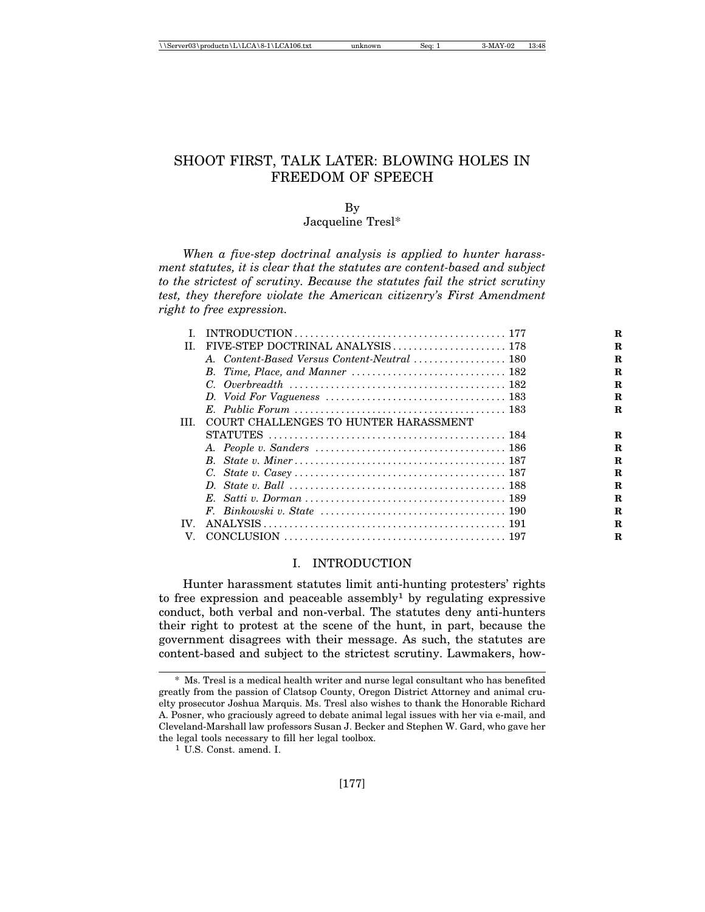# SHOOT FIRST, TALK LATER: BLOWING HOLES IN FREEDOM OF SPEECH

# By

#### Jacqueline Tresl\*

*When a five-step doctrinal analysis is applied to hunter harassment statutes, it is clear that the statutes are content-based and subject to the strictest of scrutiny. Because the statutes fail the strict scrutiny test, they therefore violate the American citizenry's First Amendment right to free expression.*

|                   |                                       | R |
|-------------------|---------------------------------------|---|
| Π                 |                                       | R |
|                   |                                       | R |
|                   |                                       | R |
|                   |                                       | R |
|                   |                                       | R |
|                   |                                       | R |
| TH.               | COURT CHALLENGES TO HUNTER HARASSMENT |   |
|                   |                                       | R |
|                   |                                       | R |
|                   |                                       | R |
|                   |                                       | R |
|                   |                                       | R |
|                   |                                       | R |
|                   |                                       | R |
| $\mathbf{IV}_{-}$ |                                       | R |
| V                 |                                       | R |
|                   |                                       |   |

## I. INTRODUCTION

Hunter harassment statutes limit anti-hunting protesters' rights to free expression and peaceable assembly<sup>1</sup> by regulating expressive conduct, both verbal and non-verbal. The statutes deny anti-hunters their right to protest at the scene of the hunt, in part, because the government disagrees with their message. As such, the statutes are content-based and subject to the strictest scrutiny. Lawmakers, how-

<sup>\*</sup> Ms. Tresl is a medical health writer and nurse legal consultant who has benefited greatly from the passion of Clatsop County, Oregon District Attorney and animal cruelty prosecutor Joshua Marquis. Ms. Tresl also wishes to thank the Honorable Richard A. Posner, who graciously agreed to debate animal legal issues with her via e-mail, and Cleveland-Marshall law professors Susan J. Becker and Stephen W. Gard, who gave her the legal tools necessary to fill her legal toolbox.

<sup>1</sup> U.S. Const. amend. I.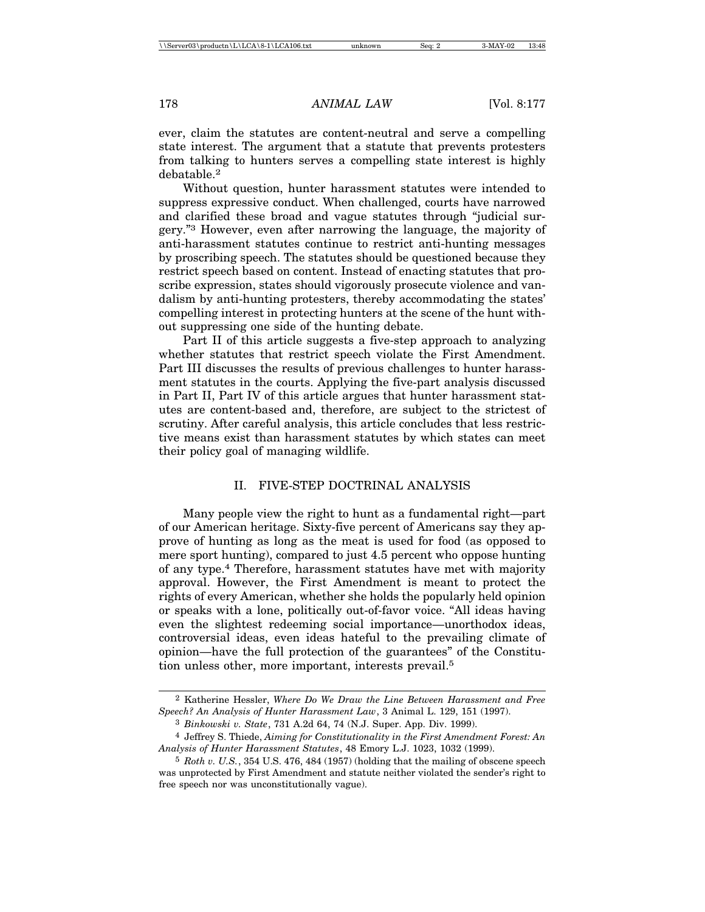ever, claim the statutes are content-neutral and serve a compelling state interest. The argument that a statute that prevents protesters from talking to hunters serves a compelling state interest is highly debatable.2

Without question, hunter harassment statutes were intended to suppress expressive conduct. When challenged, courts have narrowed and clarified these broad and vague statutes through "judicial surgery."3 However, even after narrowing the language, the majority of anti-harassment statutes continue to restrict anti-hunting messages by proscribing speech. The statutes should be questioned because they restrict speech based on content. Instead of enacting statutes that proscribe expression, states should vigorously prosecute violence and vandalism by anti-hunting protesters, thereby accommodating the states' compelling interest in protecting hunters at the scene of the hunt without suppressing one side of the hunting debate.

Part II of this article suggests a five-step approach to analyzing whether statutes that restrict speech violate the First Amendment. Part III discusses the results of previous challenges to hunter harassment statutes in the courts. Applying the five-part analysis discussed in Part II, Part IV of this article argues that hunter harassment statutes are content-based and, therefore, are subject to the strictest of scrutiny. After careful analysis, this article concludes that less restrictive means exist than harassment statutes by which states can meet their policy goal of managing wildlife.

#### II. FIVE-STEP DOCTRINAL ANALYSIS

Many people view the right to hunt as a fundamental right—part of our American heritage. Sixty-five percent of Americans say they approve of hunting as long as the meat is used for food (as opposed to mere sport hunting), compared to just 4.5 percent who oppose hunting of any type.4 Therefore, harassment statutes have met with majority approval. However, the First Amendment is meant to protect the rights of every American, whether she holds the popularly held opinion or speaks with a lone, politically out-of-favor voice. "All ideas having even the slightest redeeming social importance—unorthodox ideas, controversial ideas, even ideas hateful to the prevailing climate of opinion—have the full protection of the guarantees" of the Constitution unless other, more important, interests prevail.5

<sup>2</sup> Katherine Hessler, *Where Do We Draw the Line Between Harassment and Free Speech? An Analysis of Hunter Harassment Law*, 3 Animal L. 129, 151 (1997).

<sup>3</sup> *Binkowski v. State*, 731 A.2d 64, 74 (N.J. Super. App. Div. 1999).

<sup>4</sup> Jeffrey S. Thiede, *Aiming for Constitutionality in the First Amendment Forest: An Analysis of Hunter Harassment Statutes*, 48 Emory L.J. 1023, 1032 (1999).

<sup>5</sup> *Roth v. U.S.*, 354 U.S. 476, 484 (1957) (holding that the mailing of obscene speech was unprotected by First Amendment and statute neither violated the sender's right to free speech nor was unconstitutionally vague).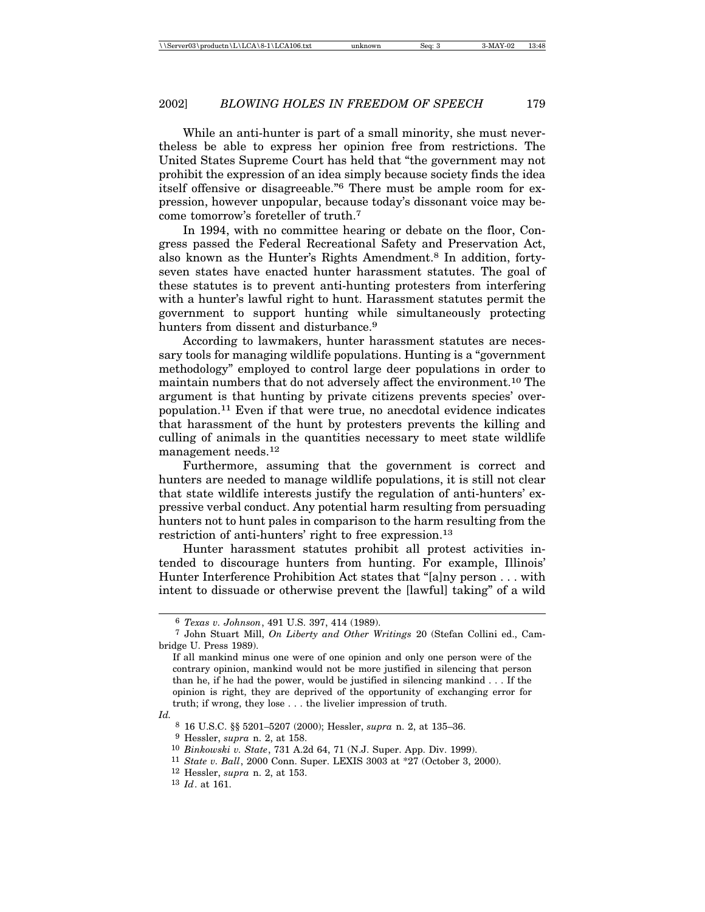While an anti-hunter is part of a small minority, she must nevertheless be able to express her opinion free from restrictions. The United States Supreme Court has held that "the government may not prohibit the expression of an idea simply because society finds the idea itself offensive or disagreeable."6 There must be ample room for expression, however unpopular, because today's dissonant voice may become tomorrow's foreteller of truth.7

In 1994, with no committee hearing or debate on the floor, Congress passed the Federal Recreational Safety and Preservation Act, also known as the Hunter's Rights Amendment.8 In addition, fortyseven states have enacted hunter harassment statutes. The goal of these statutes is to prevent anti-hunting protesters from interfering with a hunter's lawful right to hunt. Harassment statutes permit the government to support hunting while simultaneously protecting hunters from dissent and disturbance.<sup>9</sup>

According to lawmakers, hunter harassment statutes are necessary tools for managing wildlife populations. Hunting is a "government methodology" employed to control large deer populations in order to maintain numbers that do not adversely affect the environment.10 The argument is that hunting by private citizens prevents species' overpopulation.11 Even if that were true, no anecdotal evidence indicates that harassment of the hunt by protesters prevents the killing and culling of animals in the quantities necessary to meet state wildlife management needs.<sup>12</sup>

Furthermore, assuming that the government is correct and hunters are needed to manage wildlife populations, it is still not clear that state wildlife interests justify the regulation of anti-hunters' expressive verbal conduct. Any potential harm resulting from persuading hunters not to hunt pales in comparison to the harm resulting from the restriction of anti-hunters' right to free expression.<sup>13</sup>

Hunter harassment statutes prohibit all protest activities intended to discourage hunters from hunting. For example, Illinois' Hunter Interference Prohibition Act states that "[a]ny person . . . with intent to dissuade or otherwise prevent the [lawful] taking" of a wild

*Id.*

<sup>6</sup> *Texas v. Johnson*, 491 U.S. 397, 414 (1989).

<sup>7</sup> John Stuart Mill, *On Liberty and Other Writings* 20 (Stefan Collini ed., Cambridge U. Press 1989).

If all mankind minus one were of one opinion and only one person were of the contrary opinion, mankind would not be more justified in silencing that person than he, if he had the power, would be justified in silencing mankind . . . If the opinion is right, they are deprived of the opportunity of exchanging error for truth; if wrong, they lose . . . the livelier impression of truth.

<sup>8</sup> 16 U.S.C. §§ 5201–5207 (2000); Hessler, *supra* n. 2, at 135–36. 9 Hessler, *supra* n. 2, at 158.

<sup>10</sup> *Binkowski v. State*, 731 A.2d 64, 71 (N.J. Super. App. Div. 1999).

<sup>11</sup> *State v. Ball*, 2000 Conn. Super. LEXIS 3003 at \*27 (October 3, 2000).

<sup>12</sup> Hessler, *supra* n. 2, at 153.

<sup>13</sup> *Id*. at 161.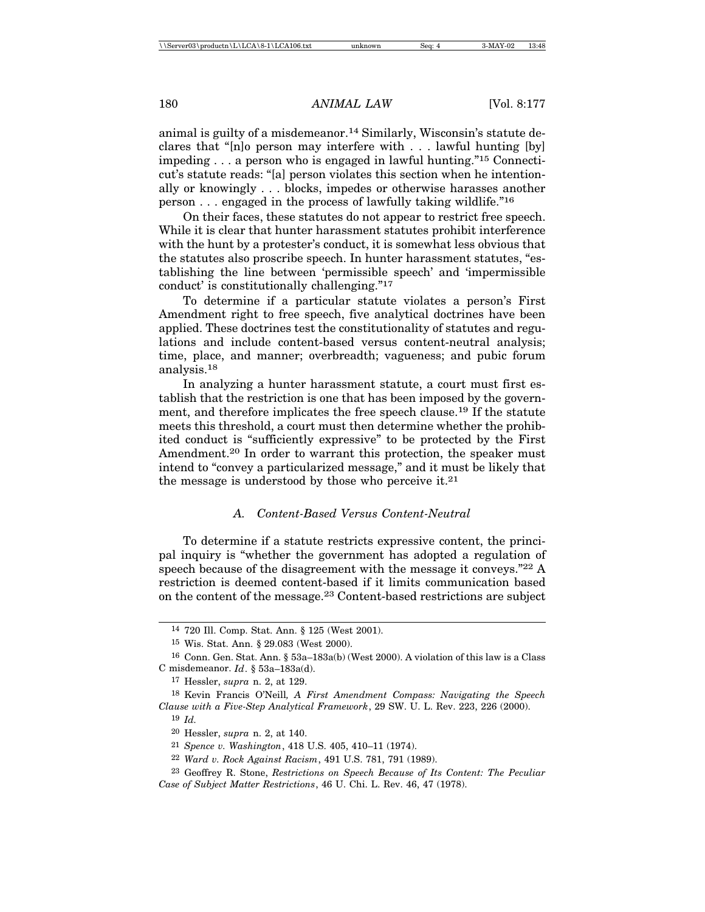animal is guilty of a misdemeanor.14 Similarly, Wisconsin's statute declares that "[n]o person may interfere with . . . lawful hunting [by] impeding . . . a person who is engaged in lawful hunting."15 Connecticut's statute reads: "[a] person violates this section when he intentionally or knowingly . . . blocks, impedes or otherwise harasses another person . . . engaged in the process of lawfully taking wildlife."<sup>16</sup>

On their faces, these statutes do not appear to restrict free speech. While it is clear that hunter harassment statutes prohibit interference with the hunt by a protester's conduct, it is somewhat less obvious that the statutes also proscribe speech. In hunter harassment statutes, "establishing the line between 'permissible speech' and 'impermissible conduct' is constitutionally challenging."<sup>17</sup>

To determine if a particular statute violates a person's First Amendment right to free speech, five analytical doctrines have been applied. These doctrines test the constitutionality of statutes and regulations and include content-based versus content-neutral analysis; time, place, and manner; overbreadth; vagueness; and pubic forum analysis.18

In analyzing a hunter harassment statute, a court must first establish that the restriction is one that has been imposed by the government, and therefore implicates the free speech clause.19 If the statute meets this threshold, a court must then determine whether the prohibited conduct is "sufficiently expressive" to be protected by the First Amendment.<sup>20</sup> In order to warrant this protection, the speaker must intend to "convey a particularized message," and it must be likely that the message is understood by those who perceive it. $21$ 

## *A. Content-Based Versus Content-Neutral*

To determine if a statute restricts expressive content, the principal inquiry is "whether the government has adopted a regulation of speech because of the disagreement with the message it conveys."<sup>22</sup> A restriction is deemed content-based if it limits communication based on the content of the message.23 Content-based restrictions are subject

<sup>14</sup> 720 Ill. Comp. Stat. Ann. § 125 (West 2001).

<sup>15</sup> Wis. Stat. Ann. § 29.083 (West 2000).

<sup>16</sup> Conn. Gen. Stat. Ann. § 53a–183a(b) (West 2000). A violation of this law is a Class C misdemeanor. *Id*. § 53a–183a(d).

<sup>17</sup> Hessler, *supra* n. 2, at 129.

<sup>18</sup> Kevin Francis O'Neill*, A First Amendment Compass: Navigating the Speech Clause with a Five-Step Analytical Framework*, 29 SW. U. L. Rev. 223, 226 (2000).

<sup>19</sup> *Id.*

<sup>20</sup> Hessler, *supra* n. 2, at 140.

<sup>21</sup> *Spence v. Washington*, 418 U.S. 405, 410–11 (1974).

<sup>22</sup> *Ward v. Rock Against Racism*, 491 U.S. 781, 791 (1989).

<sup>23</sup> Geoffrey R. Stone, *Restrictions on Speech Because of Its Content: The Peculiar Case of Subject Matter Restrictions*, 46 U. Chi. L. Rev. 46, 47 (1978).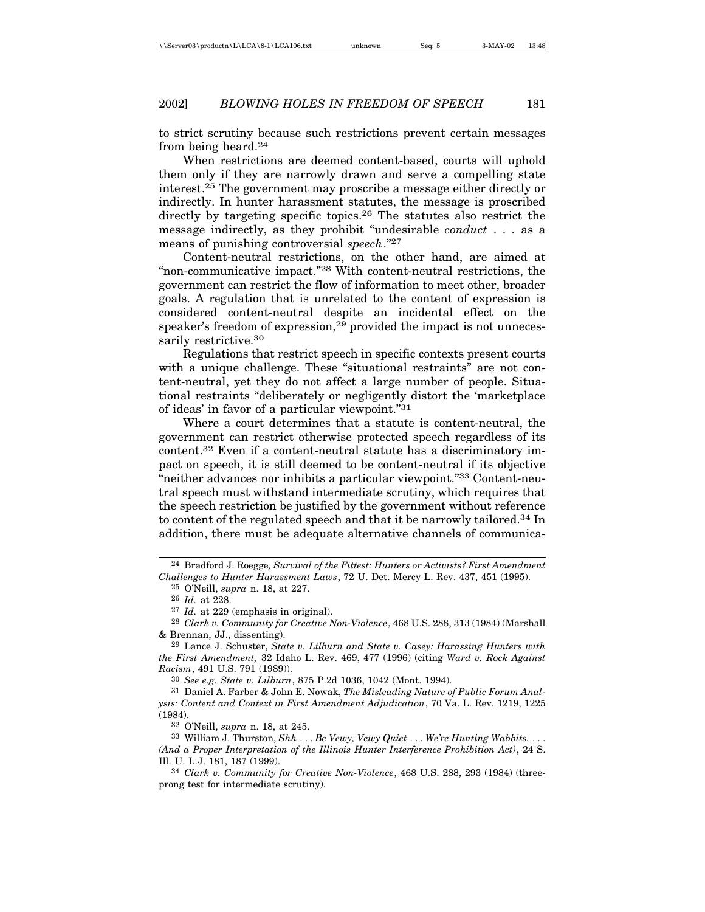to strict scrutiny because such restrictions prevent certain messages from being heard.24

When restrictions are deemed content-based, courts will uphold them only if they are narrowly drawn and serve a compelling state interest.25 The government may proscribe a message either directly or indirectly. In hunter harassment statutes, the message is proscribed directly by targeting specific topics.26 The statutes also restrict the message indirectly, as they prohibit "undesirable *conduct* . . . as a means of punishing controversial *speech*."27

Content-neutral restrictions, on the other hand, are aimed at "non-communicative impact."28 With content-neutral restrictions, the government can restrict the flow of information to meet other, broader goals. A regulation that is unrelated to the content of expression is considered content-neutral despite an incidental effect on the speaker's freedom of expression,<sup>29</sup> provided the impact is not unnecessarily restrictive.<sup>30</sup>

Regulations that restrict speech in specific contexts present courts with a unique challenge. These "situational restraints" are not content-neutral, yet they do not affect a large number of people. Situational restraints "deliberately or negligently distort the 'marketplace of ideas' in favor of a particular viewpoint."<sup>31</sup>

Where a court determines that a statute is content-neutral, the government can restrict otherwise protected speech regardless of its content.32 Even if a content-neutral statute has a discriminatory impact on speech, it is still deemed to be content-neutral if its objective "neither advances nor inhibits a particular viewpoint."33 Content-neutral speech must withstand intermediate scrutiny, which requires that the speech restriction be justified by the government without reference to content of the regulated speech and that it be narrowly tailored.34 In addition, there must be adequate alternative channels of communica-

32 O'Neill, *supra* n. 18, at 245.

33 William J. Thurston, *Shh* . . . *Be Vewy, Vewy Quiet* . . . *We're Hunting Wabbits.* . . . *(And a Proper Interpretation of the Illinois Hunter Interference Prohibition Act)*, 24 S. Ill. U. L.J. 181, 187 (1999).

<sup>24</sup> Bradford J. Roegge*, Survival of the Fittest: Hunters or Activists? First Amendment Challenges to Hunter Harassment Laws*, 72 U. Det. Mercy L. Rev. 437, 451 (1995).

<sup>25</sup> O'Neill, *supra* n. 18, at 227.

<sup>26</sup> *Id.* at 228.

<sup>27</sup> *Id.* at 229 (emphasis in original).

<sup>28</sup> *Clark v. Community for Creative Non-Violence*, 468 U.S. 288, 313 (1984) (Marshall & Brennan, JJ., dissenting).

<sup>29</sup> Lance J. Schuster, *State v. Lilburn and State v. Casey: Harassing Hunters with the First Amendment,* 32 Idaho L. Rev. 469, 477 (1996) (citing *Ward v. Rock Against Racism*, 491 U.S. 791 (1989)).

<sup>30</sup> *See e.g. State v. Lilburn*, 875 P.2d 1036, 1042 (Mont. 1994).

<sup>31</sup> Daniel A. Farber & John E. Nowak, *The Misleading Nature of Public Forum Analysis: Content and Context in First Amendment Adjudication*, 70 Va. L. Rev. 1219, 1225 (1984).

<sup>34</sup> *Clark v. Community for Creative Non-Violence*, 468 U.S. 288, 293 (1984) (threeprong test for intermediate scrutiny).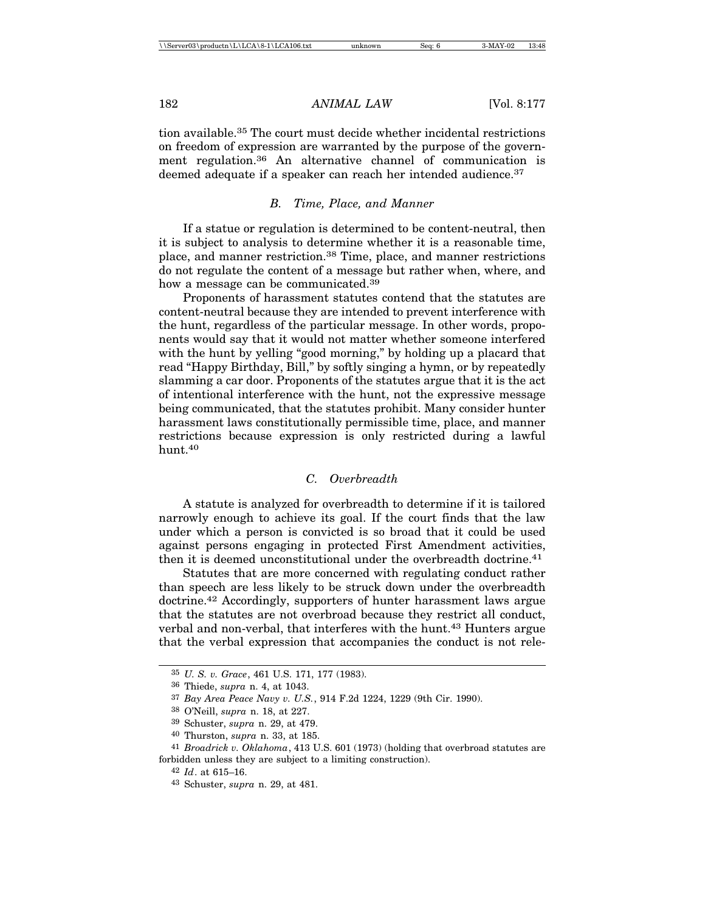tion available.35 The court must decide whether incidental restrictions on freedom of expression are warranted by the purpose of the government regulation.36 An alternative channel of communication is deemed adequate if a speaker can reach her intended audience.<sup>37</sup>

#### *B. Time, Place, and Manner*

If a statue or regulation is determined to be content-neutral, then it is subject to analysis to determine whether it is a reasonable time, place, and manner restriction.38 Time, place, and manner restrictions do not regulate the content of a message but rather when, where, and how a message can be communicated.<sup>39</sup>

Proponents of harassment statutes contend that the statutes are content-neutral because they are intended to prevent interference with the hunt, regardless of the particular message. In other words, proponents would say that it would not matter whether someone interfered with the hunt by yelling "good morning," by holding up a placard that read "Happy Birthday, Bill," by softly singing a hymn, or by repeatedly slamming a car door. Proponents of the statutes argue that it is the act of intentional interference with the hunt, not the expressive message being communicated, that the statutes prohibit. Many consider hunter harassment laws constitutionally permissible time, place, and manner restrictions because expression is only restricted during a lawful hunt.40

#### *C. Overbreadth*

A statute is analyzed for overbreadth to determine if it is tailored narrowly enough to achieve its goal. If the court finds that the law under which a person is convicted is so broad that it could be used against persons engaging in protected First Amendment activities, then it is deemed unconstitutional under the overbreadth doctrine.<sup>41</sup>

Statutes that are more concerned with regulating conduct rather than speech are less likely to be struck down under the overbreadth doctrine.42 Accordingly, supporters of hunter harassment laws argue that the statutes are not overbroad because they restrict all conduct, verbal and non-verbal, that interferes with the hunt.43 Hunters argue that the verbal expression that accompanies the conduct is not rele-

<sup>35</sup> *U. S. v. Grace*, 461 U.S. 171, 177 (1983).

<sup>36</sup> Thiede, *supra* n. 4, at 1043.

<sup>37</sup> *Bay Area Peace Navy v. U.S.*, 914 F.2d 1224, 1229 (9th Cir. 1990).

<sup>38</sup> O'Neill, *supra* n. 18, at 227.

<sup>39</sup> Schuster, *supra* n. 29, at 479.

<sup>40</sup> Thurston, *supra* n. 33, at 185.

<sup>41</sup> *Broadrick v. Oklahoma*, 413 U.S. 601 (1973) (holding that overbroad statutes are forbidden unless they are subject to a limiting construction).

<sup>42</sup> *Id*. at 615–16.

<sup>43</sup> Schuster, *supra* n. 29, at 481.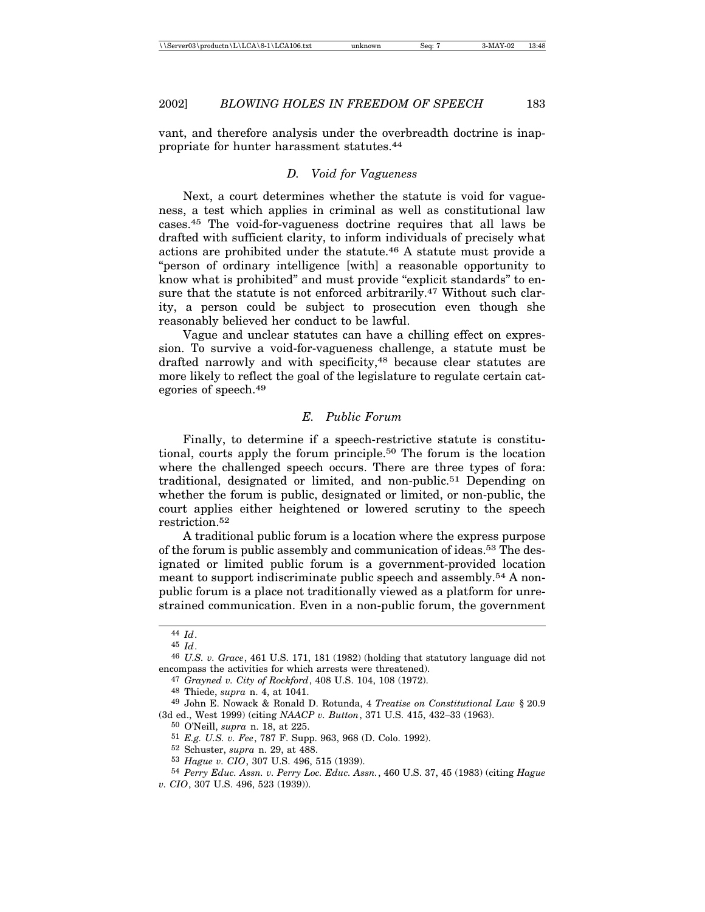vant, and therefore analysis under the overbreadth doctrine is inappropriate for hunter harassment statutes.<sup>44</sup>

#### *D. Void for Vagueness*

Next, a court determines whether the statute is void for vagueness, a test which applies in criminal as well as constitutional law cases.45 The void-for-vagueness doctrine requires that all laws be drafted with sufficient clarity, to inform individuals of precisely what actions are prohibited under the statute.46 A statute must provide a "person of ordinary intelligence [with] a reasonable opportunity to know what is prohibited" and must provide "explicit standards" to ensure that the statute is not enforced arbitrarily.47 Without such clarity, a person could be subject to prosecution even though she reasonably believed her conduct to be lawful.

Vague and unclear statutes can have a chilling effect on expression. To survive a void-for-vagueness challenge, a statute must be drafted narrowly and with specificity,<sup>48</sup> because clear statutes are more likely to reflect the goal of the legislature to regulate certain categories of speech.49

## *E. Public Forum*

Finally, to determine if a speech-restrictive statute is constitutional, courts apply the forum principle.50 The forum is the location where the challenged speech occurs. There are three types of fora: traditional, designated or limited, and non-public.51 Depending on whether the forum is public, designated or limited, or non-public, the court applies either heightened or lowered scrutiny to the speech restriction.52

A traditional public forum is a location where the express purpose of the forum is public assembly and communication of ideas.53 The designated or limited public forum is a government-provided location meant to support indiscriminate public speech and assembly.<sup>54</sup> A nonpublic forum is a place not traditionally viewed as a platform for unrestrained communication. Even in a non-public forum, the government

<sup>44</sup> *Id*.

<sup>45</sup> *Id*.

<sup>46</sup> *U.S. v. Grace*, 461 U.S. 171, 181 (1982) (holding that statutory language did not encompass the activities for which arrests were threatened).

<sup>47</sup> *Grayned v. City of Rockford*, 408 U.S. 104, 108 (1972).

<sup>48</sup> Thiede, *supra* n. 4, at 1041.

<sup>49</sup> John E. Nowack & Ronald D. Rotunda, 4 *Treatise on Constitutional Law* § 20.9 (3d ed., West 1999) (citing *NAACP v. Button*, 371 U.S. 415, 432–33 (1963).

<sup>50</sup> O'Neill, *supra* n. 18, at 225.

<sup>51</sup> *E.g. U.S. v. Fee*, 787 F. Supp. 963, 968 (D. Colo. 1992).

<sup>52</sup> Schuster, *supra* n. 29, at 488.

<sup>53</sup> *Hague v. CIO*, 307 U.S. 496, 515 (1939).

<sup>54</sup> *Perry Educ. Assn. v. Perry Loc. Educ. Assn.*, 460 U.S. 37, 45 (1983) (citing *Hague*

*v. CIO*, 307 U.S. 496, 523 (1939)).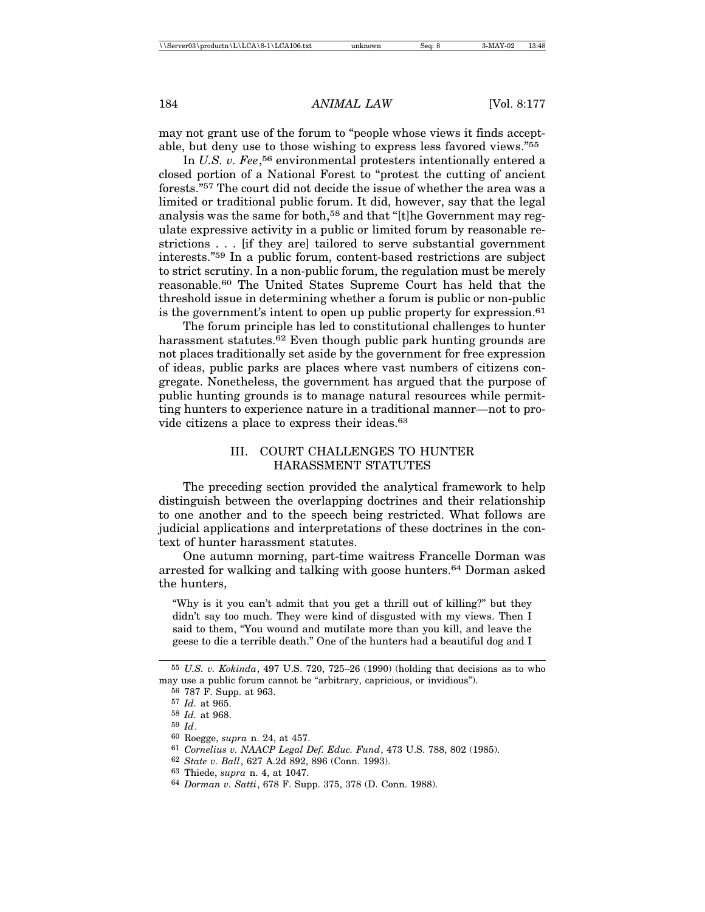may not grant use of the forum to "people whose views it finds acceptable, but deny use to those wishing to express less favored views."<sup>55</sup>

In *U.S. v. Fee*, 56 environmental protesters intentionally entered a closed portion of a National Forest to "protest the cutting of ancient forests."57 The court did not decide the issue of whether the area was a limited or traditional public forum. It did, however, say that the legal analysis was the same for both,<sup>58</sup> and that "[t]he Government may regulate expressive activity in a public or limited forum by reasonable restrictions . . . [if they are] tailored to serve substantial government interests."59 In a public forum, content-based restrictions are subject to strict scrutiny. In a non-public forum, the regulation must be merely reasonable.60 The United States Supreme Court has held that the threshold issue in determining whether a forum is public or non-public is the government's intent to open up public property for expression.<sup>61</sup>

The forum principle has led to constitutional challenges to hunter harassment statutes.<sup>62</sup> Even though public park hunting grounds are not places traditionally set aside by the government for free expression of ideas, public parks are places where vast numbers of citizens congregate. Nonetheless, the government has argued that the purpose of public hunting grounds is to manage natural resources while permitting hunters to experience nature in a traditional manner—not to provide citizens a place to express their ideas.<sup>63</sup>

## III. COURT CHALLENGES TO HUNTER HARASSMENT STATUTES

The preceding section provided the analytical framework to help distinguish between the overlapping doctrines and their relationship to one another and to the speech being restricted. What follows are judicial applications and interpretations of these doctrines in the context of hunter harassment statutes.

One autumn morning, part-time waitress Francelle Dorman was arrested for walking and talking with goose hunters.64 Dorman asked the hunters,

"Why is it you can't admit that you get a thrill out of killing?" but they didn't say too much. They were kind of disgusted with my views. Then I said to them, "You wound and mutilate more than you kill, and leave the geese to die a terrible death." One of the hunters had a beautiful dog and I

<sup>55</sup> *U.S. v. Kokinda*, 497 U.S. 720, 725–26 (1990) (holding that decisions as to who may use a public forum cannot be "arbitrary, capricious, or invidious").

<sup>56</sup> 787 F. Supp. at 963.

<sup>57</sup> *Id.* at 965. 58 *Id.* at 968.

<sup>59</sup> *Id*.

<sup>60</sup> Roegge, *supra* n. 24, at 457.

<sup>61</sup> *Cornelius v. NAACP Legal Def. Educ. Fund*, 473 U.S. 788, 802 (1985).

<sup>62</sup> *State v. Ball*, 627 A.2d 892, 896 (Conn. 1993).

<sup>63</sup> Thiede, *supra* n. 4, at 1047.

<sup>64</sup> *Dorman v. Satti*, 678 F. Supp. 375, 378 (D. Conn. 1988).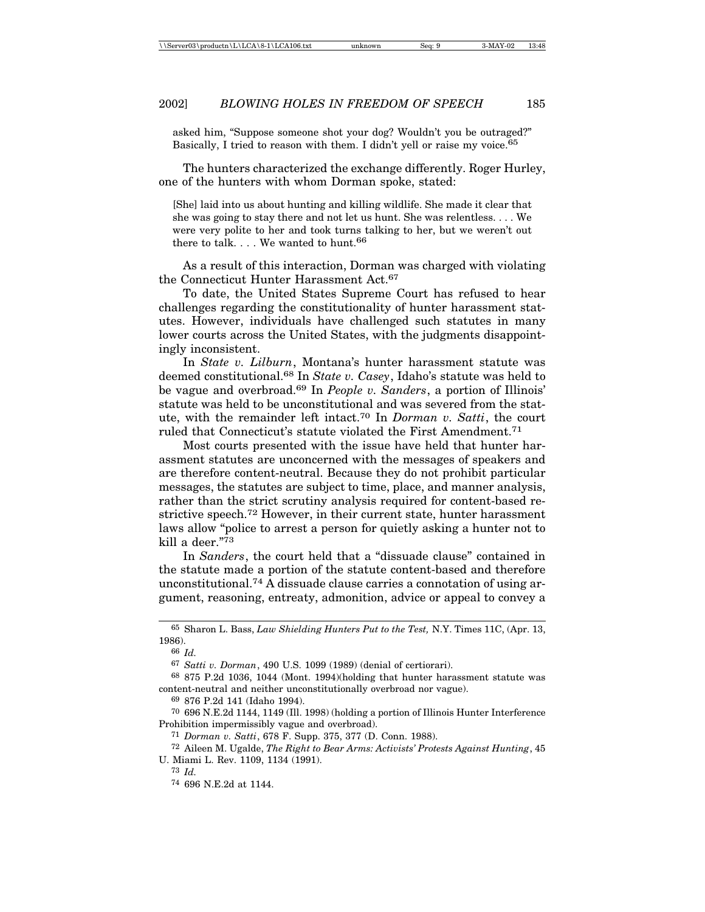asked him, "Suppose someone shot your dog? Wouldn't you be outraged?" Basically, I tried to reason with them. I didn't yell or raise my voice.65

The hunters characterized the exchange differently. Roger Hurley, one of the hunters with whom Dorman spoke, stated:

[She] laid into us about hunting and killing wildlife. She made it clear that she was going to stay there and not let us hunt. She was relentless. . . . We were very polite to her and took turns talking to her, but we weren't out there to talk. . . . We wanted to hunt.  $^{66}$ 

As a result of this interaction, Dorman was charged with violating the Connecticut Hunter Harassment Act.<sup>67</sup>

To date, the United States Supreme Court has refused to hear challenges regarding the constitutionality of hunter harassment statutes. However, individuals have challenged such statutes in many lower courts across the United States, with the judgments disappointingly inconsistent.

In *State v. Lilburn*, Montana's hunter harassment statute was deemed constitutional.68 In *State v. Casey*, Idaho's statute was held to be vague and overbroad.69 In *People v. Sanders*, a portion of Illinois' statute was held to be unconstitutional and was severed from the statute, with the remainder left intact.70 In *Dorman v. Satti*, the court ruled that Connecticut's statute violated the First Amendment.71

Most courts presented with the issue have held that hunter harassment statutes are unconcerned with the messages of speakers and are therefore content-neutral. Because they do not prohibit particular messages, the statutes are subject to time, place, and manner analysis, rather than the strict scrutiny analysis required for content-based restrictive speech.72 However, in their current state, hunter harassment laws allow "police to arrest a person for quietly asking a hunter not to kill a deer."<sup>73</sup>

In *Sanders*, the court held that a "dissuade clause" contained in the statute made a portion of the statute content-based and therefore unconstitutional.74 A dissuade clause carries a connotation of using argument, reasoning, entreaty, admonition, advice or appeal to convey a

71 *Dorman v. Satti*, 678 F. Supp. 375, 377 (D. Conn. 1988).

72 Aileen M. Ugalde, *The Right to Bear Arms: Activists' Protests Against Hunting*, 45 U. Miami L. Rev. 1109, 1134 (1991).

73 *Id.*

<sup>65</sup> Sharon L. Bass, *Law Shielding Hunters Put to the Test,* N.Y. Times 11C, (Apr. 13, 1986).

<sup>66</sup> *Id.*

<sup>67</sup> *Satti v. Dorman*, 490 U.S. 1099 (1989) (denial of certiorari).

<sup>68</sup> 875 P.2d 1036, 1044 (Mont. 1994)(holding that hunter harassment statute was content-neutral and neither unconstitutionally overbroad nor vague).

<sup>69</sup> 876 P.2d 141 (Idaho 1994).

<sup>70</sup> 696 N.E.2d 1144, 1149 (Ill. 1998) (holding a portion of Illinois Hunter Interference Prohibition impermissibly vague and overbroad).

<sup>74</sup> 696 N.E.2d at 1144.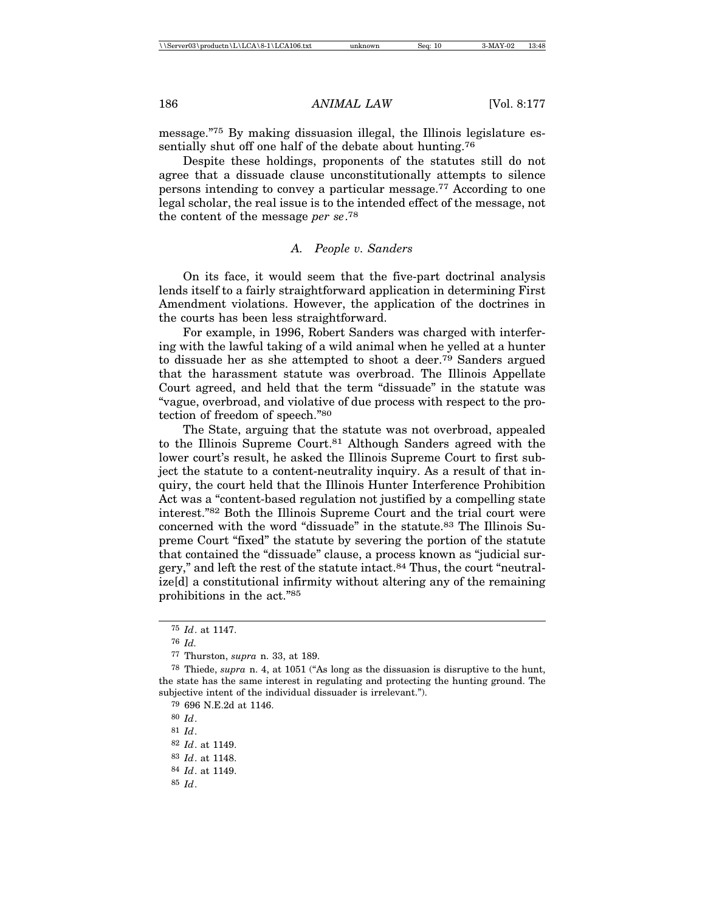message."75 By making dissuasion illegal, the Illinois legislature essentially shut off one half of the debate about hunting.<sup>76</sup>

Despite these holdings, proponents of the statutes still do not agree that a dissuade clause unconstitutionally attempts to silence persons intending to convey a particular message.77 According to one legal scholar, the real issue is to the intended effect of the message, not the content of the message *per se*. 78

#### *A. People v. Sanders*

On its face, it would seem that the five-part doctrinal analysis lends itself to a fairly straightforward application in determining First Amendment violations. However, the application of the doctrines in the courts has been less straightforward.

For example, in 1996, Robert Sanders was charged with interfering with the lawful taking of a wild animal when he yelled at a hunter to dissuade her as she attempted to shoot a deer.79 Sanders argued that the harassment statute was overbroad. The Illinois Appellate Court agreed, and held that the term "dissuade" in the statute was "vague, overbroad, and violative of due process with respect to the protection of freedom of speech."<sup>80</sup>

The State, arguing that the statute was not overbroad, appealed to the Illinois Supreme Court.81 Although Sanders agreed with the lower court's result, he asked the Illinois Supreme Court to first subject the statute to a content-neutrality inquiry. As a result of that inquiry, the court held that the Illinois Hunter Interference Prohibition Act was a "content-based regulation not justified by a compelling state interest."82 Both the Illinois Supreme Court and the trial court were concerned with the word "dissuade" in the statute.83 The Illinois Supreme Court "fixed" the statute by severing the portion of the statute that contained the "dissuade" clause, a process known as "judicial surgery," and left the rest of the statute intact.84 Thus, the court "neutralize[d] a constitutional infirmity without altering any of the remaining prohibitions in the act."85

<sup>75</sup> *Id*. at 1147.

<sup>76</sup> *Id.*

<sup>77</sup> Thurston, *supra* n. 33, at 189.

<sup>78</sup> Thiede, *supra* n. 4, at 1051 ("As long as the dissuasion is disruptive to the hunt, the state has the same interest in regulating and protecting the hunting ground. The subjective intent of the individual dissuader is irrelevant.").

<sup>79</sup> 696 N.E.2d at 1146.

<sup>80</sup> *Id*.

<sup>81</sup> *Id*.

<sup>82</sup> *Id*. at 1149.

<sup>83</sup> *Id*. at 1148.

<sup>84</sup> *Id*. at 1149.

<sup>85</sup> *Id*.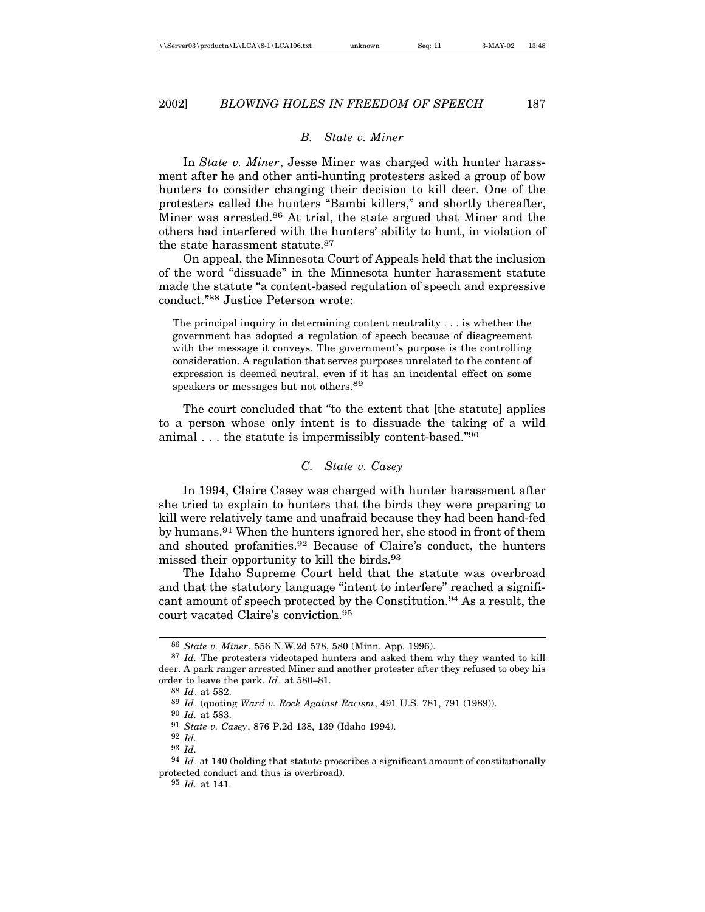#### *B. State v. Miner*

In *State v. Miner*, Jesse Miner was charged with hunter harassment after he and other anti-hunting protesters asked a group of bow hunters to consider changing their decision to kill deer. One of the protesters called the hunters "Bambi killers," and shortly thereafter, Miner was arrested.<sup>86</sup> At trial, the state argued that Miner and the others had interfered with the hunters' ability to hunt, in violation of the state harassment statute.87

On appeal, the Minnesota Court of Appeals held that the inclusion of the word "dissuade" in the Minnesota hunter harassment statute made the statute "a content-based regulation of speech and expressive conduct."88 Justice Peterson wrote:

The principal inquiry in determining content neutrality . . . is whether the government has adopted a regulation of speech because of disagreement with the message it conveys. The government's purpose is the controlling consideration. A regulation that serves purposes unrelated to the content of expression is deemed neutral, even if it has an incidental effect on some speakers or messages but not others.89

The court concluded that "to the extent that [the statute] applies to a person whose only intent is to dissuade the taking of a wild animal . . . the statute is impermissibly content-based."<sup>90</sup>

#### *C. State v. Casey*

In 1994, Claire Casey was charged with hunter harassment after she tried to explain to hunters that the birds they were preparing to kill were relatively tame and unafraid because they had been hand-fed by humans.91 When the hunters ignored her, she stood in front of them and shouted profanities.92 Because of Claire's conduct, the hunters missed their opportunity to kill the birds.<sup>93</sup>

The Idaho Supreme Court held that the statute was overbroad and that the statutory language "intent to interfere" reached a significant amount of speech protected by the Constitution.94 As a result, the court vacated Claire's conviction.<sup>95</sup>

<sup>86</sup> *State v. Miner*, 556 N.W.2d 578, 580 (Minn. App. 1996).

<sup>87</sup> *Id.* The protesters videotaped hunters and asked them why they wanted to kill deer. A park ranger arrested Miner and another protester after they refused to obey his order to leave the park. *Id*. at 580–81.

<sup>88</sup> *Id*. at 582.

<sup>89</sup> *Id*. (quoting *Ward v. Rock Against Racism*, 491 U.S. 781, 791 (1989)).

<sup>90</sup> *Id.* at 583.

<sup>91</sup> *State v. Casey*, 876 P.2d 138, 139 (Idaho 1994).

<sup>92</sup> *Id.*

<sup>93</sup> *Id.*

<sup>94</sup> *Id*. at 140 (holding that statute proscribes a significant amount of constitutionally protected conduct and thus is overbroad).

<sup>95</sup> *Id.* at 141.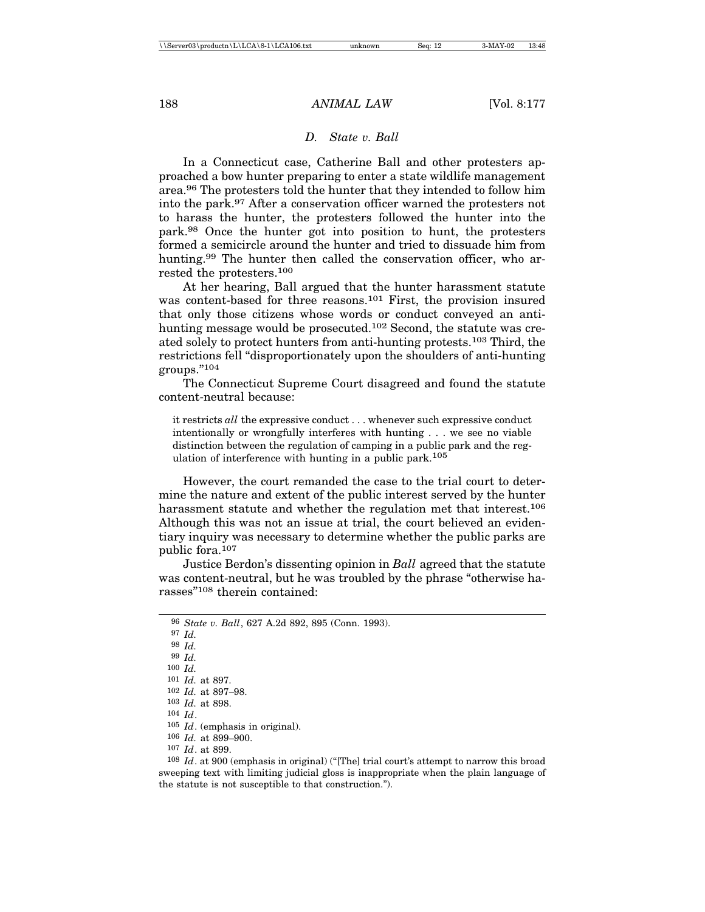#### *D. State v. Ball*

In a Connecticut case, Catherine Ball and other protesters approached a bow hunter preparing to enter a state wildlife management area.96 The protesters told the hunter that they intended to follow him into the park.97 After a conservation officer warned the protesters not to harass the hunter, the protesters followed the hunter into the park.98 Once the hunter got into position to hunt, the protesters formed a semicircle around the hunter and tried to dissuade him from hunting.<sup>99</sup> The hunter then called the conservation officer, who arrested the protesters.<sup>100</sup>

At her hearing, Ball argued that the hunter harassment statute was content-based for three reasons.<sup>101</sup> First, the provision insured that only those citizens whose words or conduct conveyed an antihunting message would be prosecuted.<sup>102</sup> Second, the statute was created solely to protect hunters from anti-hunting protests.103 Third, the restrictions fell "disproportionately upon the shoulders of anti-hunting groups."104

The Connecticut Supreme Court disagreed and found the statute content-neutral because:

it restricts *all* the expressive conduct . . . whenever such expressive conduct intentionally or wrongfully interferes with hunting . . . we see no viable distinction between the regulation of camping in a public park and the regulation of interference with hunting in a public park.<sup>105</sup>

However, the court remanded the case to the trial court to determine the nature and extent of the public interest served by the hunter harassment statute and whether the regulation met that interest.106 Although this was not an issue at trial, the court believed an evidentiary inquiry was necessary to determine whether the public parks are public fora.<sup>107</sup>

Justice Berdon's dissenting opinion in *Ball* agreed that the statute was content-neutral, but he was troubled by the phrase "otherwise harasses"108 therein contained:

106 *Id.* at 899–900.

<sup>96</sup> *State v. Ball*, 627 A.2d 892, 895 (Conn. 1993).

<sup>97</sup> *Id.*

<sup>98</sup> *Id.*

<sup>99</sup> *Id.*

<sup>100</sup> *Id.* 101 *Id.* at 897.

<sup>102</sup> *Id.* at 897–98.

<sup>103</sup> *Id.* at 898.

<sup>104</sup> *Id*.

<sup>105</sup> *Id*. (emphasis in original).

<sup>107</sup> *Id*. at 899.

<sup>108</sup> *Id*. at 900 (emphasis in original) ("[The] trial court's attempt to narrow this broad sweeping text with limiting judicial gloss is inappropriate when the plain language of the statute is not susceptible to that construction.").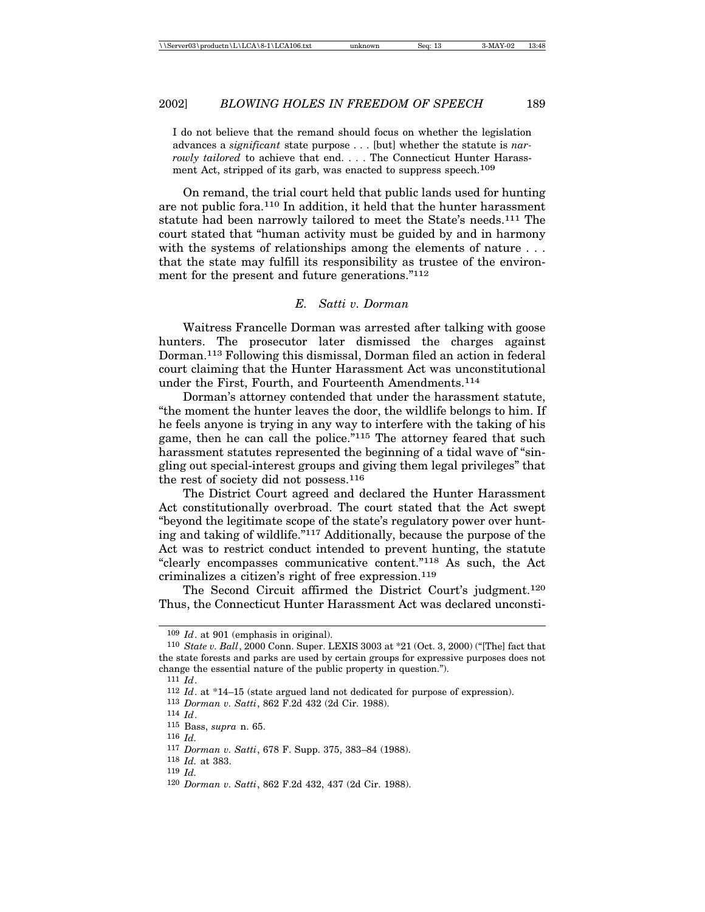I do not believe that the remand should focus on whether the legislation advances a *significant* state purpose . . . [but] whether the statute is *narrowly tailored* to achieve that end. . . . The Connecticut Hunter Harassment Act, stripped of its garb, was enacted to suppress speech.<sup>109</sup>

On remand, the trial court held that public lands used for hunting are not public fora.110 In addition, it held that the hunter harassment statute had been narrowly tailored to meet the State's needs.111 The court stated that "human activity must be guided by and in harmony with the systems of relationships among the elements of nature ... that the state may fulfill its responsibility as trustee of the environment for the present and future generations."<sup>112</sup>

## *E. Satti v. Dorman*

Waitress Francelle Dorman was arrested after talking with goose hunters. The prosecutor later dismissed the charges against Dorman.113 Following this dismissal, Dorman filed an action in federal court claiming that the Hunter Harassment Act was unconstitutional under the First, Fourth, and Fourteenth Amendments.114

Dorman's attorney contended that under the harassment statute, "the moment the hunter leaves the door, the wildlife belongs to him. If he feels anyone is trying in any way to interfere with the taking of his game, then he can call the police."115 The attorney feared that such harassment statutes represented the beginning of a tidal wave of "singling out special-interest groups and giving them legal privileges" that the rest of society did not possess.<sup>116</sup>

The District Court agreed and declared the Hunter Harassment Act constitutionally overbroad. The court stated that the Act swept "beyond the legitimate scope of the state's regulatory power over hunting and taking of wildlife."117 Additionally, because the purpose of the Act was to restrict conduct intended to prevent hunting, the statute "clearly encompasses communicative content."118 As such, the Act criminalizes a citizen's right of free expression.<sup>119</sup>

The Second Circuit affirmed the District Court's judgment.<sup>120</sup> Thus, the Connecticut Hunter Harassment Act was declared unconsti-

<sup>109</sup> *Id*. at 901 (emphasis in original).

<sup>110</sup> *State v. Ball*, 2000 Conn. Super. LEXIS 3003 at \*21 (Oct. 3, 2000) ("[The] fact that the state forests and parks are used by certain groups for expressive purposes does not change the essential nature of the public property in question.").

<sup>111</sup> *Id*.

<sup>112</sup> *Id*. at \*14–15 (state argued land not dedicated for purpose of expression).

<sup>113</sup> *Dorman v. Satti*, 862 F.2d 432 (2d Cir. 1988).

<sup>114</sup> *Id*.

<sup>115</sup> Bass, *supra* n. 65.

<sup>116</sup> *Id.*

<sup>117</sup> *Dorman v. Satti*, 678 F. Supp. 375, 383–84 (1988).

<sup>118</sup> *Id.* at 383.

<sup>119</sup> *Id.*

<sup>120</sup> *Dorman v. Satti*, 862 F.2d 432, 437 (2d Cir. 1988).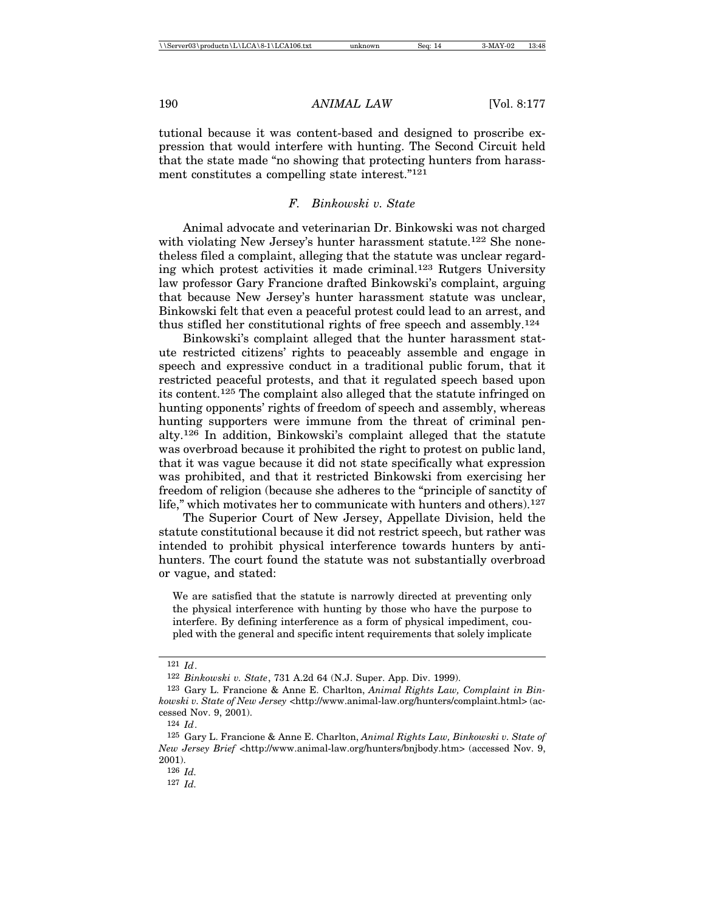tutional because it was content-based and designed to proscribe expression that would interfere with hunting. The Second Circuit held that the state made "no showing that protecting hunters from harassment constitutes a compelling state interest."121

#### *F. Binkowski v. State*

Animal advocate and veterinarian Dr. Binkowski was not charged with violating New Jersey's hunter harassment statute.122 She nonetheless filed a complaint, alleging that the statute was unclear regarding which protest activities it made criminal.123 Rutgers University law professor Gary Francione drafted Binkowski's complaint, arguing that because New Jersey's hunter harassment statute was unclear, Binkowski felt that even a peaceful protest could lead to an arrest, and thus stifled her constitutional rights of free speech and assembly.<sup>124</sup>

Binkowski's complaint alleged that the hunter harassment statute restricted citizens' rights to peaceably assemble and engage in speech and expressive conduct in a traditional public forum, that it restricted peaceful protests, and that it regulated speech based upon its content.125 The complaint also alleged that the statute infringed on hunting opponents' rights of freedom of speech and assembly, whereas hunting supporters were immune from the threat of criminal penalty.126 In addition, Binkowski's complaint alleged that the statute was overbroad because it prohibited the right to protest on public land, that it was vague because it did not state specifically what expression was prohibited, and that it restricted Binkowski from exercising her freedom of religion (because she adheres to the "principle of sanctity of life," which motivates her to communicate with hunters and others).<sup>127</sup>

The Superior Court of New Jersey, Appellate Division, held the statute constitutional because it did not restrict speech, but rather was intended to prohibit physical interference towards hunters by antihunters. The court found the statute was not substantially overbroad or vague, and stated:

We are satisfied that the statute is narrowly directed at preventing only the physical interference with hunting by those who have the purpose to interfere. By defining interference as a form of physical impediment, coupled with the general and specific intent requirements that solely implicate

<sup>121</sup> *Id*.

<sup>122</sup> *Binkowski v. State*, 731 A.2d 64 (N.J. Super. App. Div. 1999).

<sup>123</sup> Gary L. Francione & Anne E. Charlton, *Animal Rights Law, Complaint in Binkowski v. State of New Jersey* <http://www.animal-law.org/hunters/complaint.html> (accessed Nov. 9, 2001).

<sup>124</sup> *Id*.

<sup>125</sup> Gary L. Francione & Anne E. Charlton, *Animal Rights Law, Binkowski v. State of New Jersey Brief* <http://www.animal-law.org/hunters/bnjbody.htm> (accessed Nov. 9, 2001).

<sup>126</sup> *Id.*

<sup>127</sup> *Id.*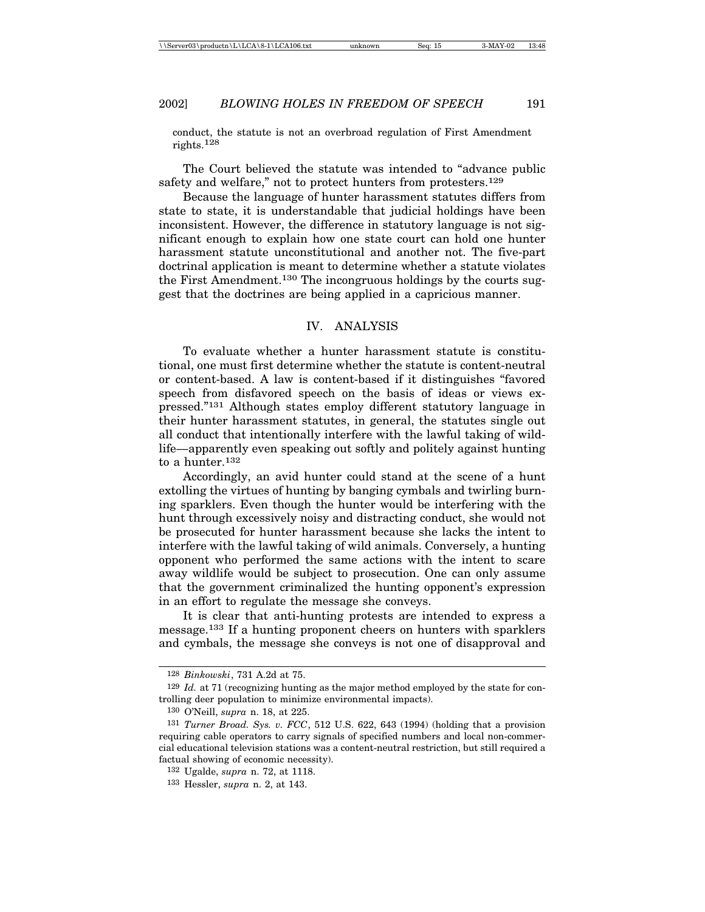conduct, the statute is not an overbroad regulation of First Amendment rights.128

The Court believed the statute was intended to "advance public safety and welfare," not to protect hunters from protesters.<sup>129</sup>

Because the language of hunter harassment statutes differs from state to state, it is understandable that judicial holdings have been inconsistent. However, the difference in statutory language is not significant enough to explain how one state court can hold one hunter harassment statute unconstitutional and another not. The five-part doctrinal application is meant to determine whether a statute violates the First Amendment.130 The incongruous holdings by the courts suggest that the doctrines are being applied in a capricious manner.

#### IV. ANALYSIS

To evaluate whether a hunter harassment statute is constitutional, one must first determine whether the statute is content-neutral or content-based. A law is content-based if it distinguishes "favored speech from disfavored speech on the basis of ideas or views expressed."131 Although states employ different statutory language in their hunter harassment statutes, in general, the statutes single out all conduct that intentionally interfere with the lawful taking of wildlife—apparently even speaking out softly and politely against hunting to a hunter.<sup>132</sup>

Accordingly, an avid hunter could stand at the scene of a hunt extolling the virtues of hunting by banging cymbals and twirling burning sparklers. Even though the hunter would be interfering with the hunt through excessively noisy and distracting conduct, she would not be prosecuted for hunter harassment because she lacks the intent to interfere with the lawful taking of wild animals. Conversely, a hunting opponent who performed the same actions with the intent to scare away wildlife would be subject to prosecution. One can only assume that the government criminalized the hunting opponent's expression in an effort to regulate the message she conveys.

It is clear that anti-hunting protests are intended to express a message.133 If a hunting proponent cheers on hunters with sparklers and cymbals, the message she conveys is not one of disapproval and

<sup>128</sup> *Binkowski*, 731 A.2d at 75.

<sup>129</sup> *Id.* at 71 (recognizing hunting as the major method employed by the state for controlling deer population to minimize environmental impacts).

<sup>130</sup> O'Neill, *supra* n. 18, at 225.

<sup>131</sup> *Turner Broad. Sys. v. FCC*, 512 U.S. 622, 643 (1994) (holding that a provision requiring cable operators to carry signals of specified numbers and local non-commercial educational television stations was a content-neutral restriction, but still required a factual showing of economic necessity).

<sup>132</sup> Ugalde, *supra* n. 72, at 1118.

<sup>133</sup> Hessler, *supra* n. 2, at 143.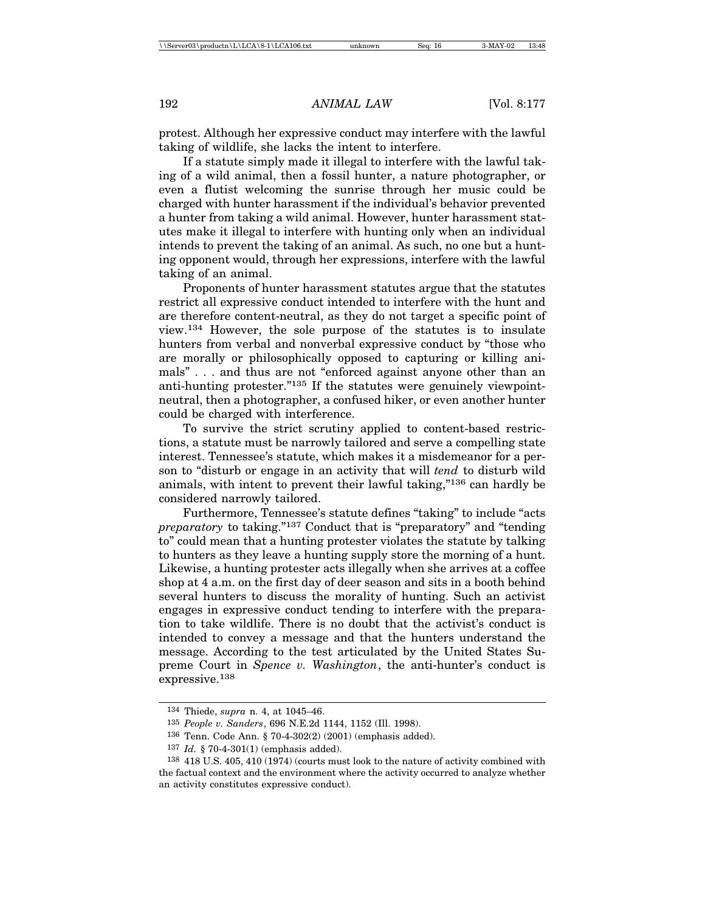protest. Although her expressive conduct may interfere with the lawful taking of wildlife, she lacks the intent to interfere.

If a statute simply made it illegal to interfere with the lawful taking of a wild animal, then a fossil hunter, a nature photographer, or even a flutist welcoming the sunrise through her music could be charged with hunter harassment if the individual's behavior prevented a hunter from taking a wild animal. However, hunter harassment statutes make it illegal to interfere with hunting only when an individual intends to prevent the taking of an animal. As such, no one but a hunting opponent would, through her expressions, interfere with the lawful taking of an animal.

Proponents of hunter harassment statutes argue that the statutes restrict all expressive conduct intended to interfere with the hunt and are therefore content-neutral, as they do not target a specific point of view.134 However, the sole purpose of the statutes is to insulate hunters from verbal and nonverbal expressive conduct by "those who are morally or philosophically opposed to capturing or killing animals" . . . and thus are not "enforced against anyone other than an anti-hunting protester."135 If the statutes were genuinely viewpointneutral, then a photographer, a confused hiker, or even another hunter could be charged with interference.

To survive the strict scrutiny applied to content-based restrictions, a statute must be narrowly tailored and serve a compelling state interest. Tennessee's statute, which makes it a misdemeanor for a person to "disturb or engage in an activity that will *tend* to disturb wild animals, with intent to prevent their lawful taking,"136 can hardly be considered narrowly tailored.

Furthermore, Tennessee's statute defines "taking" to include "acts *preparatory* to taking."137 Conduct that is "preparatory" and "tending to" could mean that a hunting protester violates the statute by talking to hunters as they leave a hunting supply store the morning of a hunt. Likewise, a hunting protester acts illegally when she arrives at a coffee shop at 4 a.m. on the first day of deer season and sits in a booth behind several hunters to discuss the morality of hunting. Such an activist engages in expressive conduct tending to interfere with the preparation to take wildlife. There is no doubt that the activist's conduct is intended to convey a message and that the hunters understand the message. According to the test articulated by the United States Supreme Court in *Spence v. Washington*, the anti-hunter's conduct is expressive.138

<sup>134</sup> Thiede, *supra* n. 4, at 1045–46.

<sup>135</sup> *People v. Sanders*, 696 N.E.2d 1144, 1152 (Ill. 1998).

<sup>136</sup> Tenn. Code Ann. § 70-4-302(2) (2001) (emphasis added).

<sup>137</sup> *Id.* § 70-4-301(1) (emphasis added).

<sup>138</sup> 418 U.S. 405, 410 (1974) (courts must look to the nature of activity combined with the factual context and the environment where the activity occurred to analyze whether an activity constitutes expressive conduct).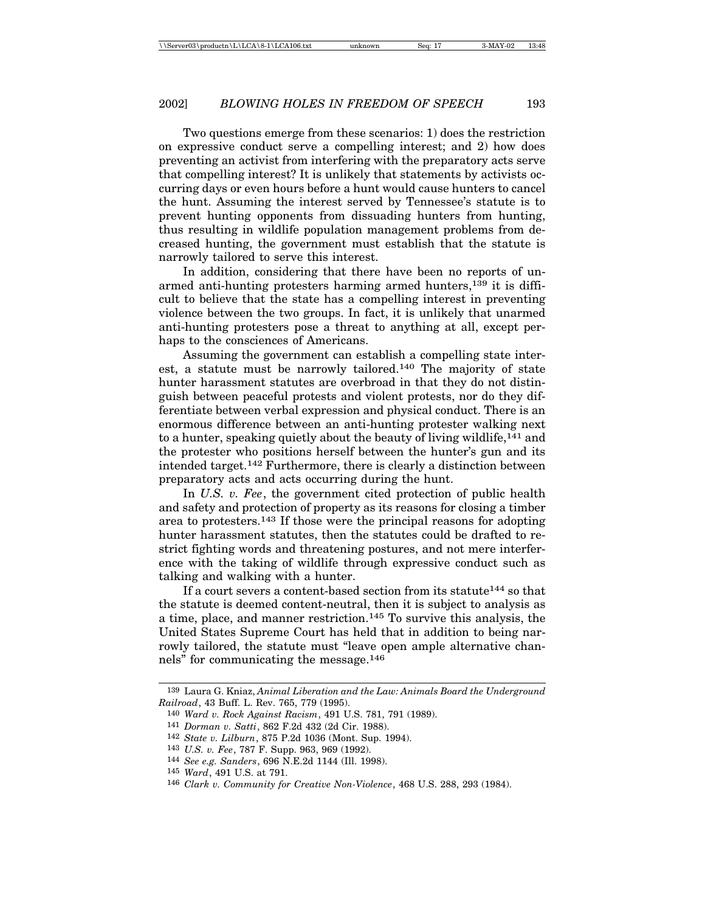Two questions emerge from these scenarios: 1) does the restriction on expressive conduct serve a compelling interest; and 2) how does preventing an activist from interfering with the preparatory acts serve that compelling interest? It is unlikely that statements by activists occurring days or even hours before a hunt would cause hunters to cancel the hunt. Assuming the interest served by Tennessee's statute is to prevent hunting opponents from dissuading hunters from hunting, thus resulting in wildlife population management problems from decreased hunting, the government must establish that the statute is narrowly tailored to serve this interest.

In addition, considering that there have been no reports of unarmed anti-hunting protesters harming armed hunters,<sup>139</sup> it is difficult to believe that the state has a compelling interest in preventing violence between the two groups. In fact, it is unlikely that unarmed anti-hunting protesters pose a threat to anything at all, except perhaps to the consciences of Americans.

Assuming the government can establish a compelling state interest, a statute must be narrowly tailored.140 The majority of state hunter harassment statutes are overbroad in that they do not distinguish between peaceful protests and violent protests, nor do they differentiate between verbal expression and physical conduct. There is an enormous difference between an anti-hunting protester walking next to a hunter, speaking quietly about the beauty of living wildlife,141 and the protester who positions herself between the hunter's gun and its intended target.142 Furthermore, there is clearly a distinction between preparatory acts and acts occurring during the hunt.

In *U.S. v. Fee*, the government cited protection of public health and safety and protection of property as its reasons for closing a timber area to protesters.143 If those were the principal reasons for adopting hunter harassment statutes, then the statutes could be drafted to restrict fighting words and threatening postures, and not mere interference with the taking of wildlife through expressive conduct such as talking and walking with a hunter.

If a court severs a content-based section from its statute<sup>144</sup> so that the statute is deemed content-neutral, then it is subject to analysis as a time, place, and manner restriction.145 To survive this analysis, the United States Supreme Court has held that in addition to being narrowly tailored, the statute must "leave open ample alternative channels" for communicating the message.146

- 143 *U.S. v. Fee*, 787 F. Supp. 963, 969 (1992).
- 144 *See e.g. Sanders*, 696 N.E.2d 1144 (Ill. 1998).

<sup>139</sup> Laura G. Kniaz, *Animal Liberation and the Law: Animals Board the Underground Railroad*, 43 Buff. L. Rev. 765, 779 (1995).

<sup>140</sup> *Ward v. Rock Against Racism*, 491 U.S. 781, 791 (1989).

<sup>141</sup> *Dorman v. Satti*, 862 F.2d 432 (2d Cir. 1988).

<sup>142</sup> *State v. Lilburn*, 875 P.2d 1036 (Mont. Sup. 1994).

<sup>145</sup> *Ward*, 491 U.S. at 791.

<sup>146</sup> *Clark v. Community for Creative Non-Violence*, 468 U.S. 288, 293 (1984).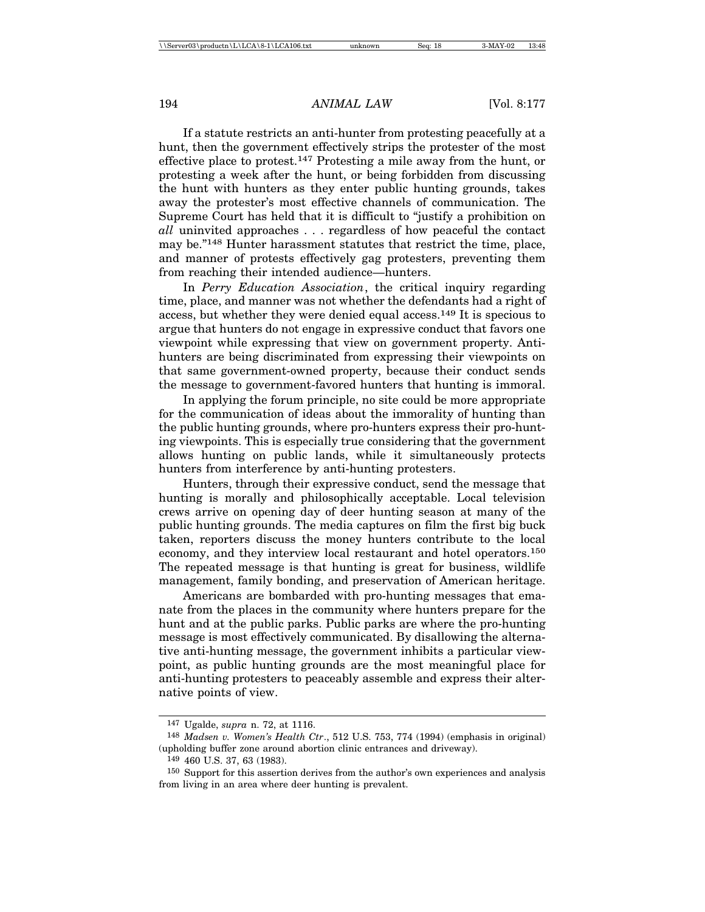If a statute restricts an anti-hunter from protesting peacefully at a hunt, then the government effectively strips the protester of the most effective place to protest.147 Protesting a mile away from the hunt, or protesting a week after the hunt, or being forbidden from discussing the hunt with hunters as they enter public hunting grounds, takes away the protester's most effective channels of communication. The Supreme Court has held that it is difficult to "justify a prohibition on *all* uninvited approaches . . . regardless of how peaceful the contact may be."148 Hunter harassment statutes that restrict the time, place, and manner of protests effectively gag protesters, preventing them from reaching their intended audience—hunters.

In *Perry Education Association*, the critical inquiry regarding time, place, and manner was not whether the defendants had a right of access, but whether they were denied equal access.149 It is specious to argue that hunters do not engage in expressive conduct that favors one viewpoint while expressing that view on government property. Antihunters are being discriminated from expressing their viewpoints on that same government-owned property, because their conduct sends the message to government-favored hunters that hunting is immoral.

In applying the forum principle, no site could be more appropriate for the communication of ideas about the immorality of hunting than the public hunting grounds, where pro-hunters express their pro-hunting viewpoints. This is especially true considering that the government allows hunting on public lands, while it simultaneously protects hunters from interference by anti-hunting protesters.

Hunters, through their expressive conduct, send the message that hunting is morally and philosophically acceptable. Local television crews arrive on opening day of deer hunting season at many of the public hunting grounds. The media captures on film the first big buck taken, reporters discuss the money hunters contribute to the local economy, and they interview local restaurant and hotel operators.<sup>150</sup> The repeated message is that hunting is great for business, wildlife management, family bonding, and preservation of American heritage.

Americans are bombarded with pro-hunting messages that emanate from the places in the community where hunters prepare for the hunt and at the public parks. Public parks are where the pro-hunting message is most effectively communicated. By disallowing the alternative anti-hunting message, the government inhibits a particular viewpoint, as public hunting grounds are the most meaningful place for anti-hunting protesters to peaceably assemble and express their alternative points of view.

<sup>147</sup> Ugalde, *supra* n. 72, at 1116.

<sup>148</sup> *Madsen v. Women's Health Ctr*., 512 U.S. 753, 774 (1994) (emphasis in original) (upholding buffer zone around abortion clinic entrances and driveway).

<sup>149</sup> 460 U.S. 37, 63 (1983).

<sup>150</sup> Support for this assertion derives from the author's own experiences and analysis from living in an area where deer hunting is prevalent.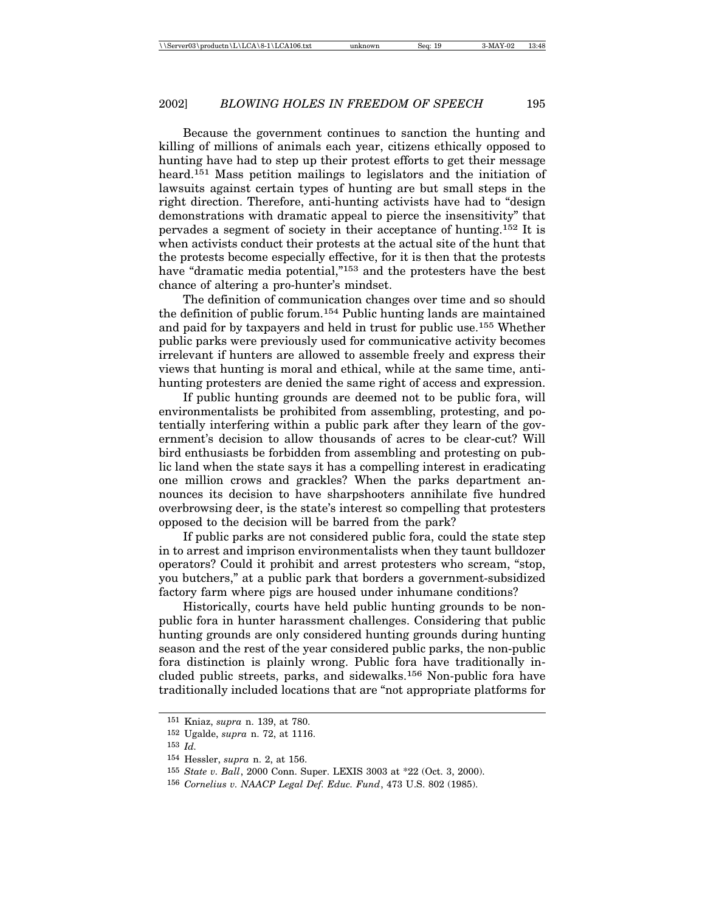Because the government continues to sanction the hunting and killing of millions of animals each year, citizens ethically opposed to hunting have had to step up their protest efforts to get their message heard.<sup>151</sup> Mass petition mailings to legislators and the initiation of lawsuits against certain types of hunting are but small steps in the right direction. Therefore, anti-hunting activists have had to "design demonstrations with dramatic appeal to pierce the insensitivity" that pervades a segment of society in their acceptance of hunting.152 It is when activists conduct their protests at the actual site of the hunt that the protests become especially effective, for it is then that the protests have "dramatic media potential,"153 and the protesters have the best chance of altering a pro-hunter's mindset.

The definition of communication changes over time and so should the definition of public forum.154 Public hunting lands are maintained and paid for by taxpayers and held in trust for public use.155 Whether public parks were previously used for communicative activity becomes irrelevant if hunters are allowed to assemble freely and express their views that hunting is moral and ethical, while at the same time, antihunting protesters are denied the same right of access and expression.

If public hunting grounds are deemed not to be public fora, will environmentalists be prohibited from assembling, protesting, and potentially interfering within a public park after they learn of the government's decision to allow thousands of acres to be clear-cut? Will bird enthusiasts be forbidden from assembling and protesting on public land when the state says it has a compelling interest in eradicating one million crows and grackles? When the parks department announces its decision to have sharpshooters annihilate five hundred overbrowsing deer, is the state's interest so compelling that protesters opposed to the decision will be barred from the park?

If public parks are not considered public fora, could the state step in to arrest and imprison environmentalists when they taunt bulldozer operators? Could it prohibit and arrest protesters who scream, "stop, you butchers," at a public park that borders a government-subsidized factory farm where pigs are housed under inhumane conditions?

Historically, courts have held public hunting grounds to be nonpublic fora in hunter harassment challenges. Considering that public hunting grounds are only considered hunting grounds during hunting season and the rest of the year considered public parks, the non-public fora distinction is plainly wrong. Public fora have traditionally included public streets, parks, and sidewalks.156 Non-public fora have traditionally included locations that are "not appropriate platforms for

<sup>151</sup> Kniaz, *supra* n. 139, at 780.

<sup>152</sup> Ugalde, *supra* n. 72, at 1116.

<sup>153</sup> *Id.*

<sup>154</sup> Hessler, *supra* n. 2, at 156.

<sup>155</sup> *State v. Ball*, 2000 Conn. Super. LEXIS 3003 at \*22 (Oct. 3, 2000).

<sup>156</sup> *Cornelius v. NAACP Legal Def. Educ. Fund*, 473 U.S. 802 (1985).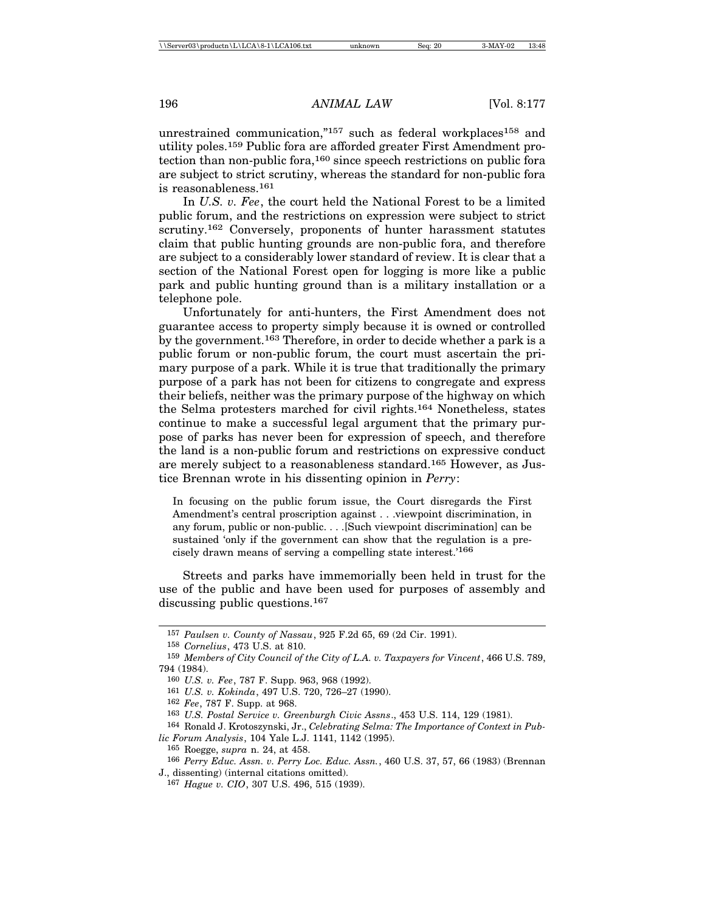unrestrained communication,"157 such as federal workplaces<sup>158</sup> and utility poles.159 Public fora are afforded greater First Amendment protection than non-public fora,160 since speech restrictions on public fora are subject to strict scrutiny, whereas the standard for non-public fora is reasonableness.<sup>161</sup>

In *U.S. v. Fee*, the court held the National Forest to be a limited public forum, and the restrictions on expression were subject to strict scrutiny.162 Conversely, proponents of hunter harassment statutes claim that public hunting grounds are non-public fora, and therefore are subject to a considerably lower standard of review. It is clear that a section of the National Forest open for logging is more like a public park and public hunting ground than is a military installation or a telephone pole.

Unfortunately for anti-hunters, the First Amendment does not guarantee access to property simply because it is owned or controlled by the government.163 Therefore, in order to decide whether a park is a public forum or non-public forum, the court must ascertain the primary purpose of a park. While it is true that traditionally the primary purpose of a park has not been for citizens to congregate and express their beliefs, neither was the primary purpose of the highway on which the Selma protesters marched for civil rights.164 Nonetheless, states continue to make a successful legal argument that the primary purpose of parks has never been for expression of speech, and therefore the land is a non-public forum and restrictions on expressive conduct are merely subject to a reasonableness standard.165 However, as Justice Brennan wrote in his dissenting opinion in *Perry*:

In focusing on the public forum issue, the Court disregards the First Amendment's central proscription against . . .viewpoint discrimination, in any forum, public or non-public. . . .[Such viewpoint discrimination] can be sustained 'only if the government can show that the regulation is a precisely drawn means of serving a compelling state interest.'166

Streets and parks have immemorially been held in trust for the use of the public and have been used for purposes of assembly and discussing public questions.<sup>167</sup>

<sup>157</sup> *Paulsen v. County of Nassau*, 925 F.2d 65, 69 (2d Cir. 1991).

<sup>158</sup> *Cornelius*, 473 U.S. at 810.

<sup>159</sup> *Members of City Council of the City of L.A. v. Taxpayers for Vincent*, 466 U.S. 789, 794 (1984).

<sup>160</sup> *U.S. v. Fee*, 787 F. Supp. 963, 968 (1992).

<sup>161</sup> *U.S. v. Kokinda*, 497 U.S. 720, 726–27 (1990).

<sup>162</sup> *Fee*, 787 F. Supp. at 968.

<sup>163</sup> *U.S. Postal Service v. Greenburgh Civic Assns*., 453 U.S. 114, 129 (1981).

<sup>164</sup> Ronald J. Krotoszynski, Jr., *Celebrating Selma: The Importance of Context in Public Forum Analysis*, 104 Yale L.J. 1141, 1142 (1995).

<sup>165</sup> Roegge, *supra* n. 24, at 458.

<sup>166</sup> *Perry Educ. Assn. v. Perry Loc. Educ. Assn.*, 460 U.S. 37, 57, 66 (1983) (Brennan J., dissenting) (internal citations omitted).

<sup>167</sup> *Hague v. CIO*, 307 U.S. 496, 515 (1939).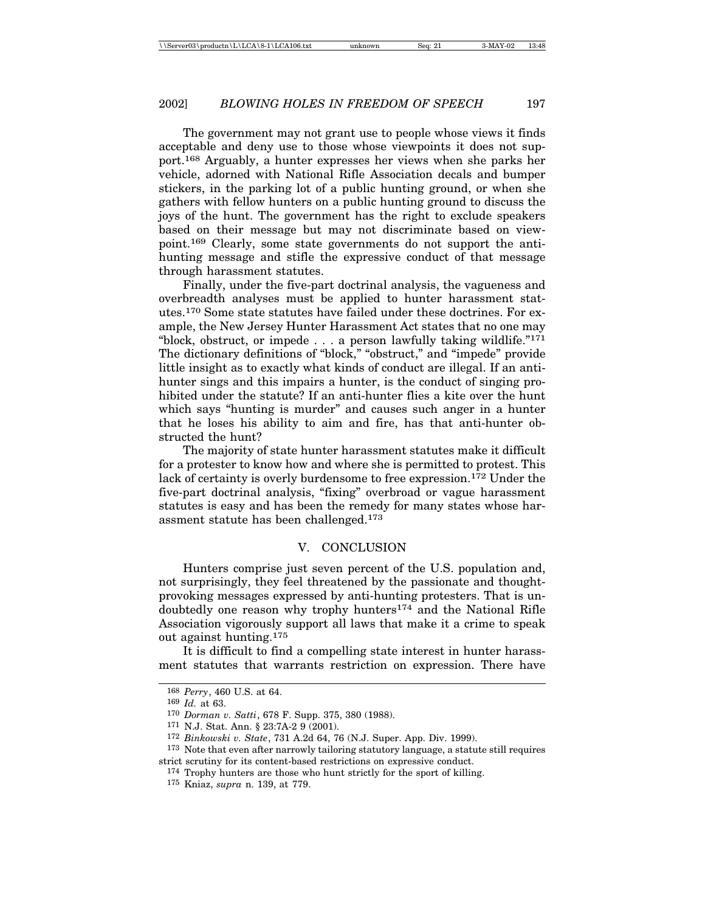The government may not grant use to people whose views it finds acceptable and deny use to those whose viewpoints it does not support.168 Arguably, a hunter expresses her views when she parks her vehicle, adorned with National Rifle Association decals and bumper stickers, in the parking lot of a public hunting ground, or when she gathers with fellow hunters on a public hunting ground to discuss the joys of the hunt. The government has the right to exclude speakers based on their message but may not discriminate based on viewpoint.169 Clearly, some state governments do not support the antihunting message and stifle the expressive conduct of that message through harassment statutes.

Finally, under the five-part doctrinal analysis, the vagueness and overbreadth analyses must be applied to hunter harassment statutes.170 Some state statutes have failed under these doctrines. For example, the New Jersey Hunter Harassment Act states that no one may "block, obstruct, or impede . . . a person lawfully taking wildlife."<sup>171</sup> The dictionary definitions of "block," "obstruct," and "impede" provide little insight as to exactly what kinds of conduct are illegal. If an antihunter sings and this impairs a hunter, is the conduct of singing prohibited under the statute? If an anti-hunter flies a kite over the hunt which says "hunting is murder" and causes such anger in a hunter that he loses his ability to aim and fire, has that anti-hunter obstructed the hunt?

The majority of state hunter harassment statutes make it difficult for a protester to know how and where she is permitted to protest. This lack of certainty is overly burdensome to free expression.172 Under the five-part doctrinal analysis, "fixing" overbroad or vague harassment statutes is easy and has been the remedy for many states whose harassment statute has been challenged.173

#### V. CONCLUSION

Hunters comprise just seven percent of the U.S. population and, not surprisingly, they feel threatened by the passionate and thoughtprovoking messages expressed by anti-hunting protesters. That is undoubtedly one reason why trophy hunters174 and the National Rifle Association vigorously support all laws that make it a crime to speak out against hunting.<sup>175</sup>

It is difficult to find a compelling state interest in hunter harassment statutes that warrants restriction on expression. There have

<sup>168</sup> *Perry*, 460 U.S. at 64.

<sup>169</sup> *Id.* at 63.

<sup>170</sup> *Dorman v. Satti*, 678 F. Supp. 375, 380 (1988).

<sup>171</sup> N.J. Stat. Ann. § 23:7A-2 9 (2001).

<sup>172</sup> *Binkowski v. State*, 731 A.2d 64, 76 (N.J. Super. App. Div. 1999).

<sup>173</sup> Note that even after narrowly tailoring statutory language, a statute still requires strict scrutiny for its content-based restrictions on expressive conduct.

<sup>174</sup> Trophy hunters are those who hunt strictly for the sport of killing.

<sup>175</sup> Kniaz, *supra* n. 139, at 779.